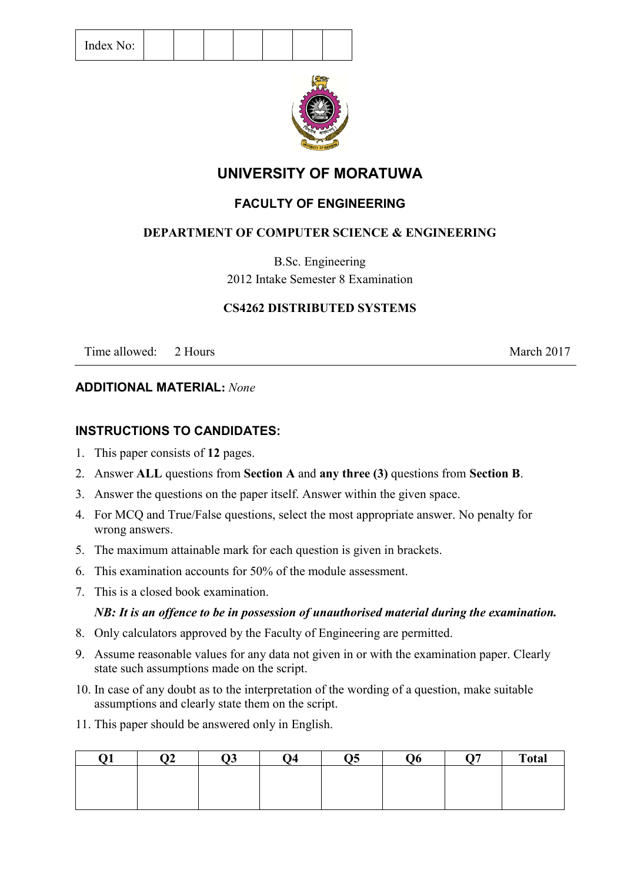| Index No: |  |  |  |  |  |  |  |  |
|-----------|--|--|--|--|--|--|--|--|
|-----------|--|--|--|--|--|--|--|--|



# **UNIVERSITY OF MORATUWA**

# **FACULTY OF ENGINEERING**

## **DEPARTMENT OF COMPUTER SCIENCE & ENGINEERING**

B.Sc. Engineering 2012 Intake Semester 8 Examination

### **CS4262 DISTRIBUTED SYSTEMS**

Time allowed: 2 Hours March 2017

#### **ADDITIONAL MATERIAL:** *None*

### **INSTRUCTIONS TO CANDIDATES:**

- 1. This paper consists of **12** pages.
- 2. Answer **ALL** questions from **Section A** and **any three (3)** questions from **Section B**.
- 3. Answer the questions on the paper itself. Answer within the given space.
- 4. For MCQ and True/False questions, select the most appropriate answer. No penalty for wrong answers.
- 5. The maximum attainable mark for each question is given in brackets.
- 6. This examination accounts for 50% of the module assessment.
- 7. This is a closed book examination.

#### *NB: It is an offence to be in possession of unauthorised material during the examination.*

- 8. Only calculators approved by the Faculty of Engineering are permitted.
- 9. Assume reasonable values for any data not given in or with the examination paper. Clearly state such assumptions made on the script.
- 10. In case of any doubt as to the interpretation of the wording of a question, make suitable assumptions and clearly state them on the script.
- 11. This paper should be answered only in English.

| <b>^^</b> | $\sim$ | O4 | ω5 | $\sim$ $\sim$ | $\Omega$ | <b>Total</b> |
|-----------|--------|----|----|---------------|----------|--------------|
|           |        |    |    |               |          |              |
|           |        |    |    |               |          |              |
|           |        |    |    |               |          |              |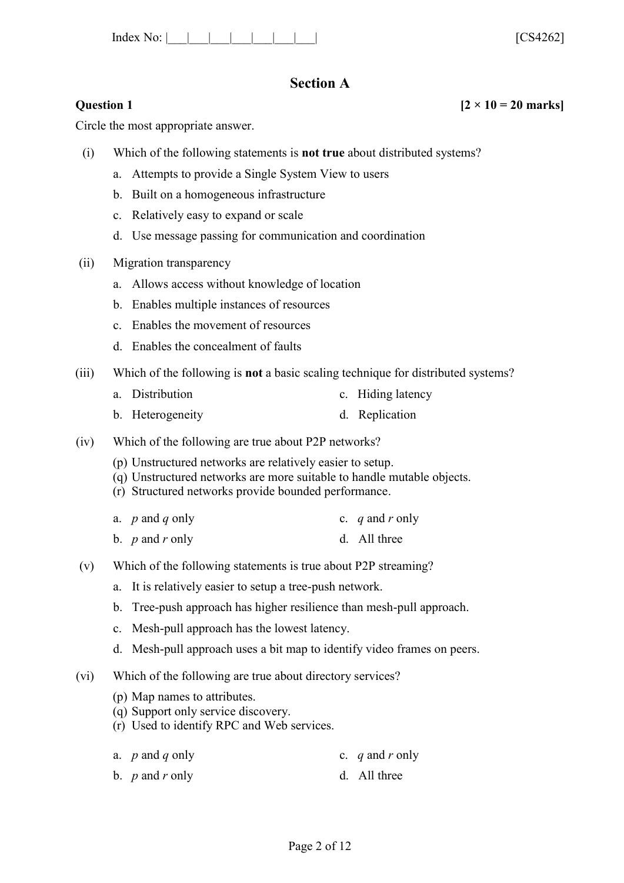## **Section A**

#### **Question 1**  $[2 \times 10 = 20 \text{ marks}]$

Circle the most appropriate answer.

- (i) Which of the following statements is **not true** about distributed systems?
	- a. Attempts to provide a Single System View to users
	- b. Built on a homogeneous infrastructure
	- c. Relatively easy to expand or scale
	- d. Use message passing for communication and coordination
- (ii) Migration transparency
	- a. Allows access without knowledge of location
	- b. Enables multiple instances of resources
	- c. Enables the movement of resources
	- d. Enables the concealment of faults
- (iii) Which of the following is **not** a basic scaling technique for distributed systems?
	- a. Distribution c. Hiding latency
	- b. Heterogeneity d. Replication
- (iv) Which of the following are true about P2P networks?
	- (p) Unstructured networks are relatively easier to setup.
	- (q) Unstructured networks are more suitable to handle mutable objects.
	- (r) Structured networks provide bounded performance.
	- a. *p* and *q* only c. *q* and *r* only
	- b. *p* and *r* only d. All three
- (v) Which of the following statements is true about P2P streaming?
	- a. It is relatively easier to setup a tree-push network.
	- b. Tree-push approach has higher resilience than mesh-pull approach.
	- c. Mesh-pull approach has the lowest latency.
	- d. Mesh-pull approach uses a bit map to identify video frames on peers.
- (vi) Which of the following are true about directory services?
	- (p) Map names to attributes.
	- (q) Support only service discovery.
	- (r) Used to identify RPC and Web services.
	- a. *p* and *q* only c. *q* and *r* only
	- b. *p* and *r* only d. All three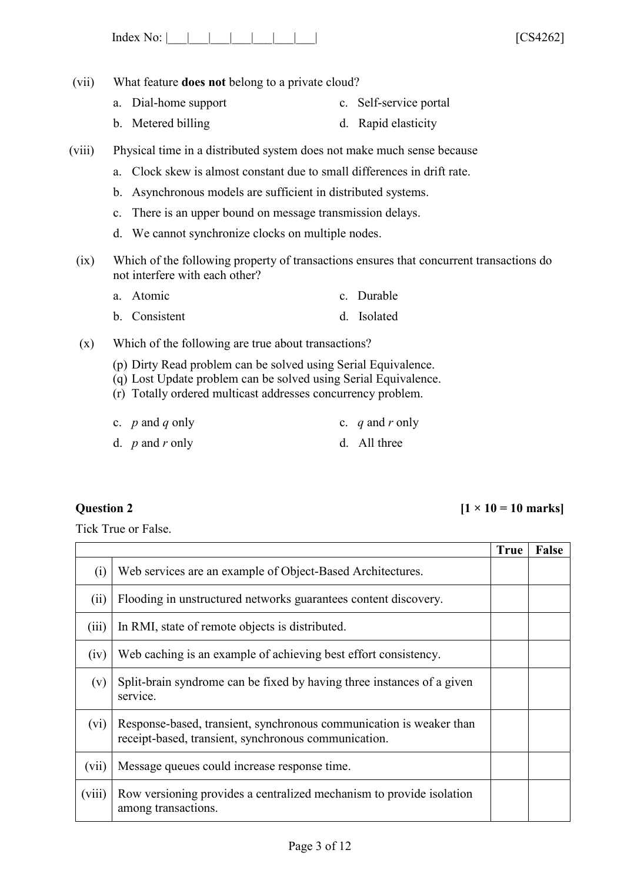Index No: |\_\_\_|\_\_\_|\_\_\_|\_\_\_|\_\_\_|\_\_\_|\_\_\_| [CS4262]

- (vii) What feature **does not** belong to a private cloud?
	- a. Dial-home support c. Self-service portal
	- b. Metered billing d. Rapid elasticity
- (viii) Physical time in a distributed system does not make much sense because
	- a. Clock skew is almost constant due to small differences in drift rate.
	- b. Asynchronous models are sufficient in distributed systems.
	- c. There is an upper bound on message transmission delays.
	- d. We cannot synchronize clocks on multiple nodes.
	- (ix) Which of the following property of transactions ensures that concurrent transactions do not interfere with each other?
		- a. Atomic c. Durable
		- b. Consistent d. Isolated
	- (x) Which of the following are true about transactions?
		- (p) Dirty Read problem can be solved using Serial Equivalence.
		- (q) Lost Update problem can be solved using Serial Equivalence.
		- (r) Totally ordered multicast addresses concurrency problem.
		- c. *p* and *q* only c. *q* and *r* only d. *p* and *r* only d. All three

**Question 2**  $[1 \times 10 = 10 \text{ marks}]$ 

Tick True or False.

|         |                                                                                                                             | <b>True</b> | False |
|---------|-----------------------------------------------------------------------------------------------------------------------------|-------------|-------|
| (i)     | Web services are an example of Object-Based Architectures.                                                                  |             |       |
| (ii)    | Flooding in unstructured networks guarantees content discovery.                                                             |             |       |
| (iii)   | In RMI, state of remote objects is distributed.                                                                             |             |       |
| (iv)    | Web caching is an example of achieving best effort consistency.                                                             |             |       |
| (v)     | Split-brain syndrome can be fixed by having three instances of a given<br>service.                                          |             |       |
| $(v_i)$ | Response-based, transient, synchronous communication is weaker than<br>receipt-based, transient, synchronous communication. |             |       |
| (vii)   | Message queues could increase response time.                                                                                |             |       |
| (viii)  | Row versioning provides a centralized mechanism to provide isolation<br>among transactions.                                 |             |       |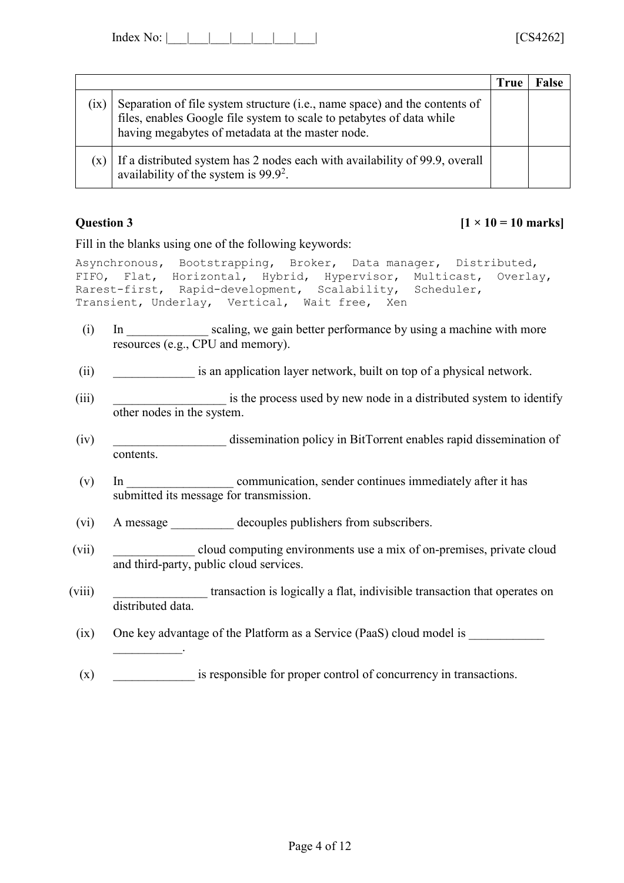| Index No: |  |  |  |  |  |  |  | $FCO$ $120$<br>,,<br>∼ |
|-----------|--|--|--|--|--|--|--|------------------------|
|-----------|--|--|--|--|--|--|--|------------------------|

|      |                                                                                                                                                                                                         | <b>True</b> | False |
|------|---------------------------------------------------------------------------------------------------------------------------------------------------------------------------------------------------------|-------------|-------|
| (1X) | Separation of file system structure (i.e., name space) and the contents of<br>files, enables Google file system to scale to petabytes of data while<br>having megabytes of metadata at the master node. |             |       |
|      | $(x)$   If a distributed system has 2 nodes each with availability of 99.9, overall<br>availability of the system is $99.9^2$ .                                                                         |             |       |

 $\mathcal{L}=\mathcal{L}^{\text{max}}$ 

### **Question 3**  $[1 \times 10 = 10 \text{ marks}]$

Fill in the blanks using one of the following keywords:

```
Asynchronous, Bootstrapping, Broker, Data manager, Distributed, 
FIFO, Flat, Horizontal, Hybrid, Hypervisor, Multicast, Overlay, 
Rarest-first, Rapid-development, Scalability, Scheduler, 
Transient, Underlay, Vertical, Wait free, Xen
```
- (i) In scaling, we gain better performance by using a machine with more resources (e.g., CPU and memory).
- (ii) is an application layer network, built on top of a physical network.
- (iii) is the process used by new node in a distributed system to identify other nodes in the system.
- (iv) \_\_\_\_\_\_\_\_\_\_\_\_\_\_\_\_\_\_ dissemination policy in BitTorrent enables rapid dissemination of contents.
- (v) In communication, sender continues immediately after it has submitted its message for transmission.
- (vi) A message decouples publishers from subscribers.
- (vii) cloud computing environments use a mix of on-premises, private cloud and third-party, public cloud services.
- (viii) \_\_\_\_\_\_\_\_\_\_\_\_\_\_\_ transaction is logically a flat, indivisible transaction that operates on distributed data.
	- (ix) One key advantage of the Platform as a Service (PaaS) cloud model is
	- (x) is responsible for proper control of concurrency in transactions.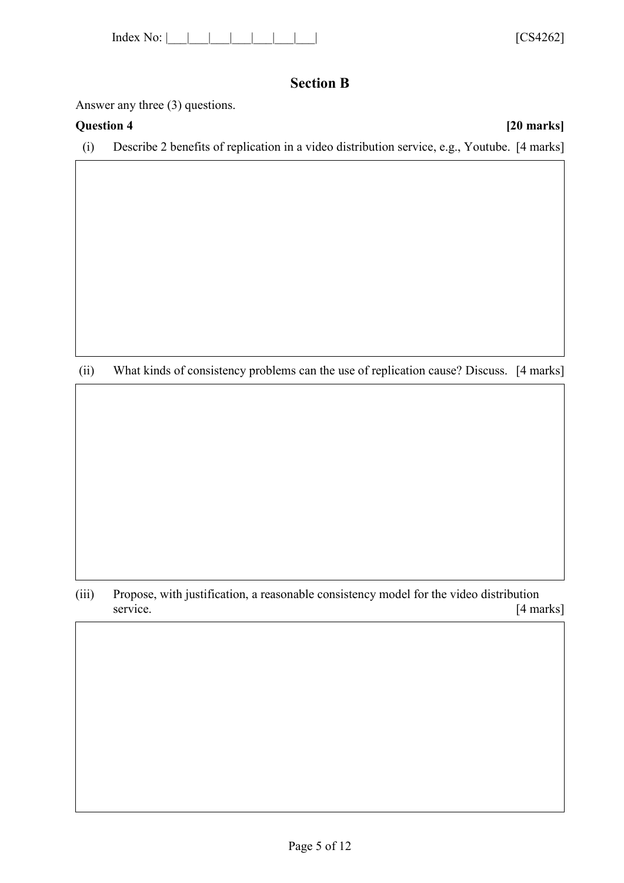| Index No: |  |
|-----------|--|
|-----------|--|

# **Section B**

Answer any three (3) questions.

**Question 4 [20 marks]** (i) Describe 2 benefits of replication in a video distribution service, e.g., Youtube. [4 marks]

(ii) What kinds of consistency problems can the use of replication cause? Discuss. [4 marks]

(iii) Propose, with justification, a reasonable consistency model for the video distribution service. [4 marks]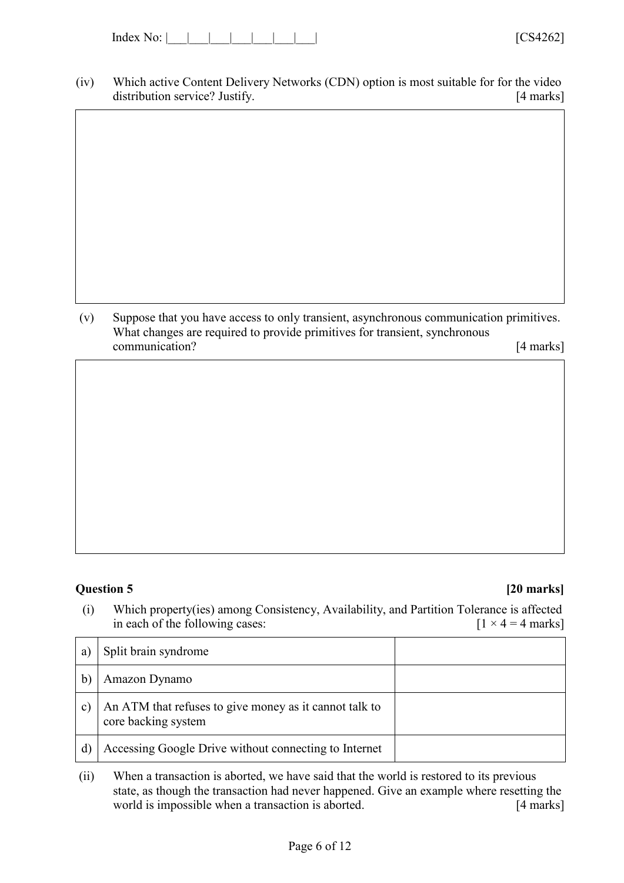| Index<br>J∩. |  |  |  |  |  |  |  |  |
|--------------|--|--|--|--|--|--|--|--|
|--------------|--|--|--|--|--|--|--|--|

(iv) Which active Content Delivery Networks (CDN) option is most suitable for for the video distribution service? Justify. [4 marks]

(v) Suppose that you have access to only transient, asynchronous communication primitives. What changes are required to provide primitives for transient, synchronous communication? [4 marks]

### **Question 5 [20 marks]**

(i) Which property(ies) among Consistency, Availability, and Partition Tolerance is affected in each of the following cases:  $[1 \times 4 = 4 \text{ marks}]$ 

| a            | Split brain syndrome                                                          |  |
|--------------|-------------------------------------------------------------------------------|--|
|              | Amazon Dynamo                                                                 |  |
| $\mathbf{C}$ | An ATM that refuses to give money as it cannot talk to<br>core backing system |  |
| ď            | Accessing Google Drive without connecting to Internet                         |  |

(ii) When a transaction is aborted, we have said that the world is restored to its previous state, as though the transaction had never happened. Give an example where resetting the world is impossible when a transaction is aborted. [4 marks]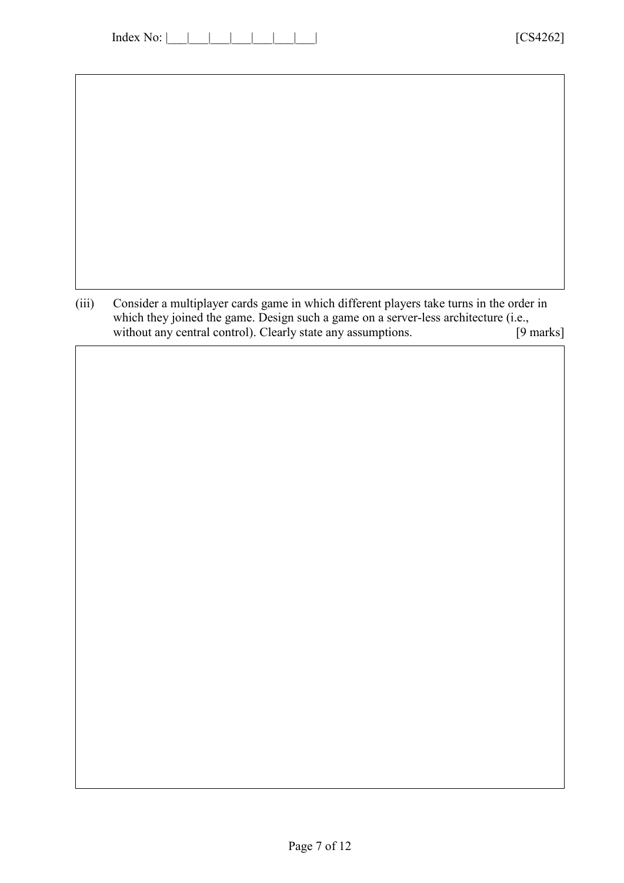| Index |  |  |  |  |  |
|-------|--|--|--|--|--|
|-------|--|--|--|--|--|

| (iii) | Consider a multiplayer cards game in which different players take turns in the order in<br>which they joined the game. Design such a game on a server-less architecture (i.e., |
|-------|--------------------------------------------------------------------------------------------------------------------------------------------------------------------------------|
|       | without any central control). Clearly state any assumptions.<br>[9 marks]                                                                                                      |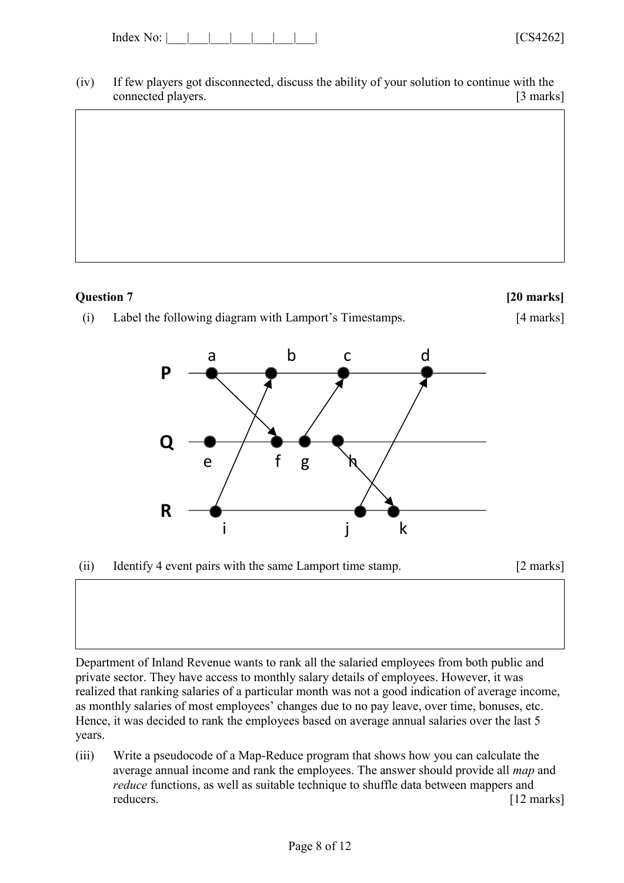| Index No: $\vert$<br>0.010(0.01) |
|----------------------------------|
|----------------------------------|

(iv) If few players got disconnected, discuss the ability of your solution to continue with the connected players. [3 marks]

### **Question 7 [20 marks]**

(i) Label the following diagram with Lamport's Timestamps. [4 marks]



(ii) Identify 4 event pairs with the same Lamport time stamp. [2 marks]

Department of Inland Revenue wants to rank all the salaried employees from both public and private sector. They have access to monthly salary details of employees. However, it was realized that ranking salaries of a particular month was not a good indication of average income, as monthly salaries of most employees' changes due to no pay leave, over time, bonuses, etc. Hence, it was decided to rank the employees based on average annual salaries over the last 5 years.

(iii) Write a pseudocode of a Map-Reduce program that shows how you can calculate the average annual income and rank the employees. The answer should provide all *map* and *reduce* functions, as well as suitable technique to shuffle data between mappers and reducers. [12 marks]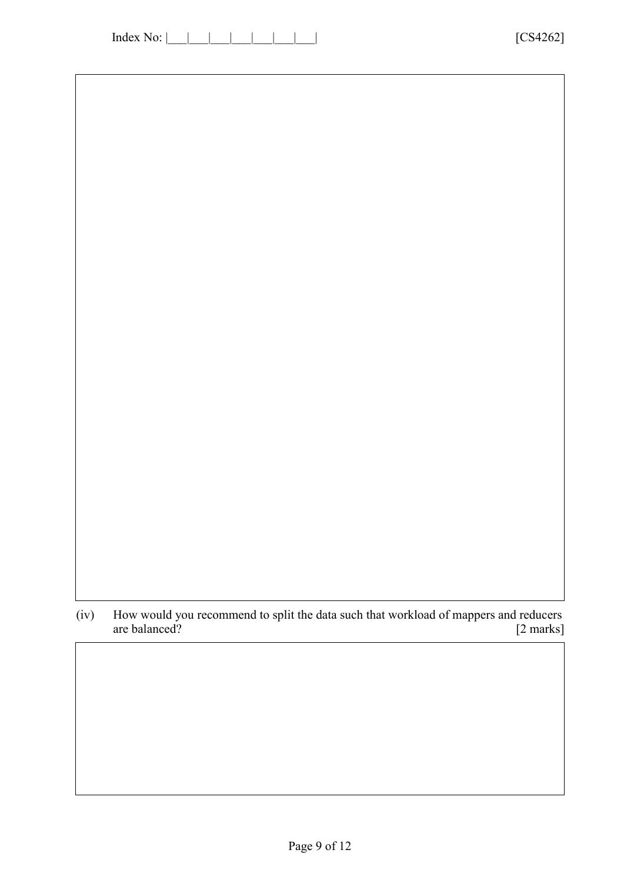(iv) How would you recommend to split the data such that workload of mappers and reducers are balanced? [2 marks] are balanced?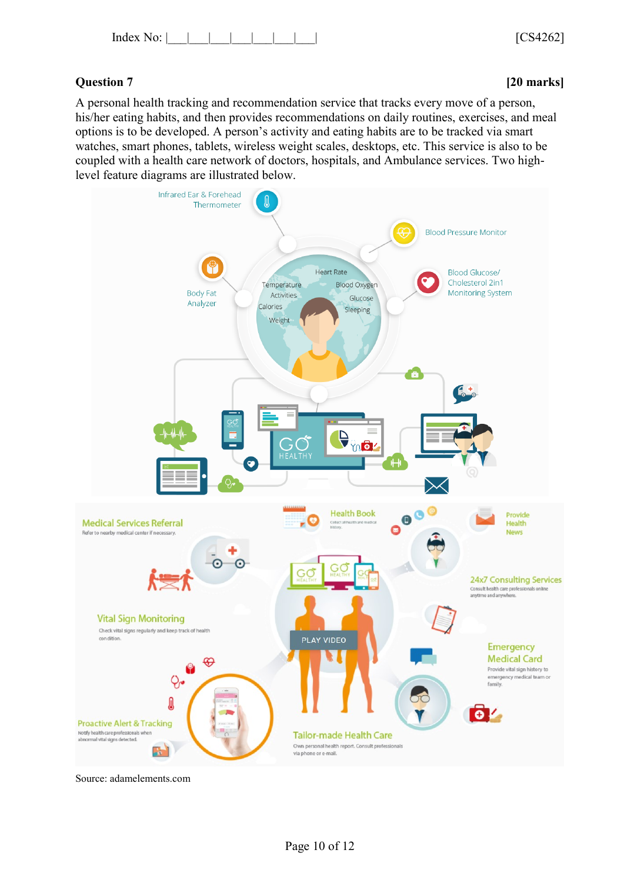

## **Question 7 [20 marks]**

A personal health tracking and recommendation service that tracks every move of a person, his/her eating habits, and then provides recommendations on daily routines, exercises, and meal options is to be developed. A person's activity and eating habits are to be tracked via smart watches, smart phones, tablets, wireless weight scales, desktops, etc. This service is also to be coupled with a health care network of doctors, hospitals, and Ambulance services. Two highlevel feature diagrams are illustrated below.



Source: adamelements.com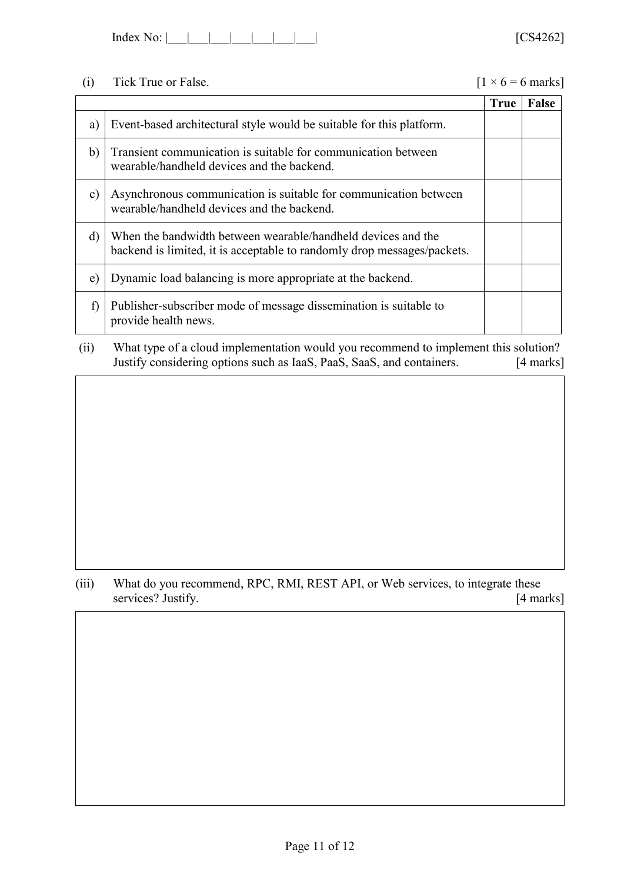| Index No: |  |  |  |  |  |  |  |  |
|-----------|--|--|--|--|--|--|--|--|
|-----------|--|--|--|--|--|--|--|--|

### (i) Tick True or False.  $[1 \times 6 = 6 \text{ marks}]$

|               |                                                                                                                                         | <b>True</b> | False |
|---------------|-----------------------------------------------------------------------------------------------------------------------------------------|-------------|-------|
| a)            | Event-based architectural style would be suitable for this platform.                                                                    |             |       |
| b)            | Transient communication is suitable for communication between<br>wearable/handheld devices and the backend.                             |             |       |
| $\mathbf{c})$ | Asynchronous communication is suitable for communication between<br>wearable/handheld devices and the backend.                          |             |       |
| $\rm d$       | When the bandwidth between wearable/handheld devices and the<br>backend is limited, it is acceptable to randomly drop messages/packets. |             |       |
| e)            | Dynamic load balancing is more appropriate at the backend.                                                                              |             |       |
| f)            | Publisher-subscriber mode of message dissemination is suitable to<br>provide health news.                                               |             |       |

(ii) What type of a cloud implementation would you recommend to implement this solution? Justify considering options such as IaaS, PaaS, SaaS, and containers. [4 marks]

(iii) What do you recommend, RPC, RMI, REST API, or Web services, to integrate these services? Justify. [4 marks]